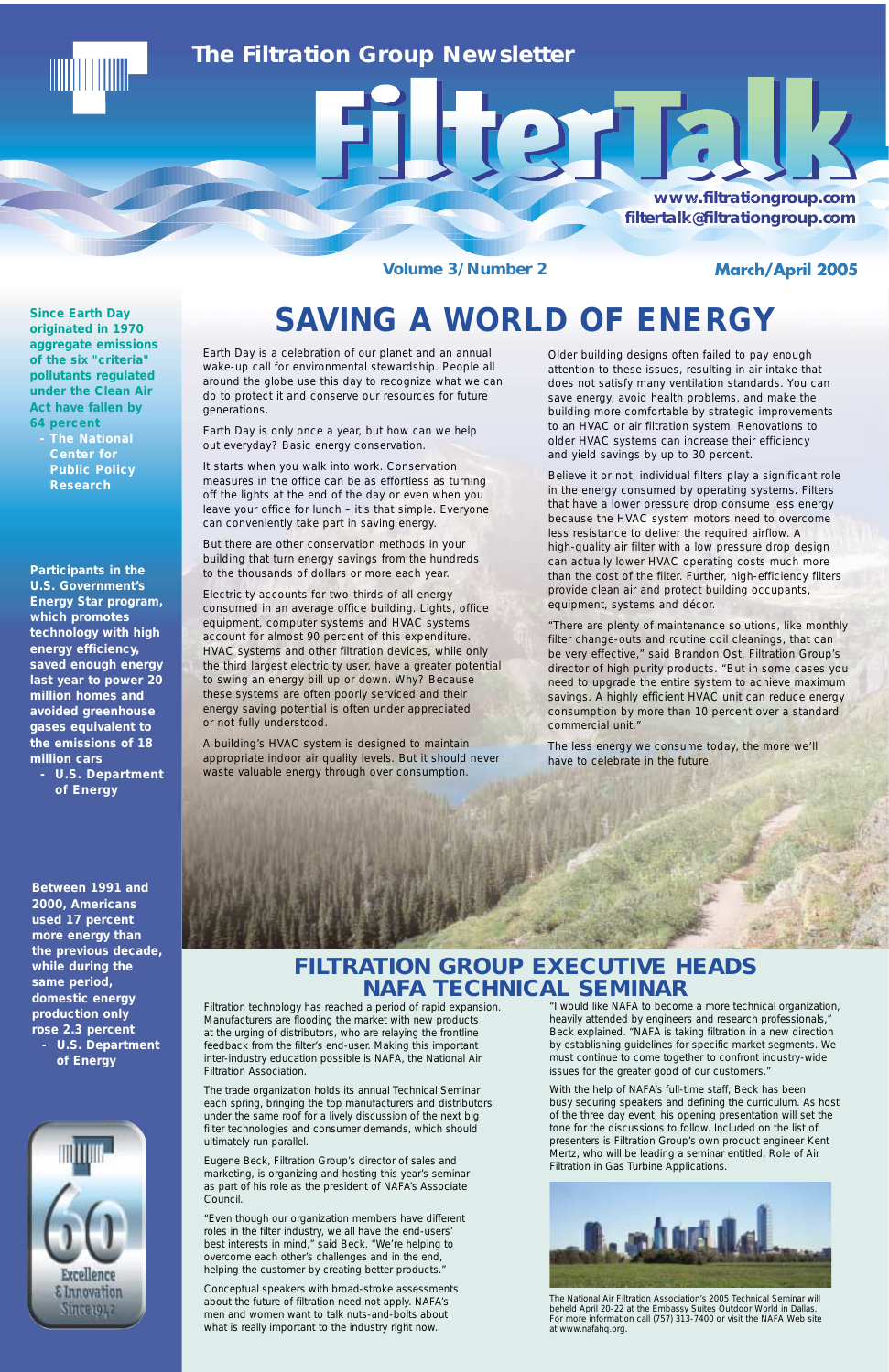**Volume 3/Number 2** 

**March/April 2005** 

### *The Filtration Group Newsletter*

**www.filtrationgroup.com www.filtrationgroup w.filtrationgroup.com filtertalk@filtrationgroup.c filtertalk@filtrationgroup.com ltertalk@filtrationgro tertalk@filtrationgroup.comk@filtrationgroup.com**

Older building designs often failed to pay enough attention to these issues, resulting in air intake that does not satisfy many ventilation standards. You can save energy, avoid health problems, and make the building more comfortable by strategic improvements to an HVAC or air filtration system. Renovations to older HVAC systems can increase their efficiency and yield savings by up to 30 percent.

212

Believe it or not, individual filters play a significant role in the energy consumed by operating systems. Filters that have a lower pressure drop consume less energy because the HVAC system motors need to overcome less resistance to deliver the required airflow. A high-quality air filter with a low pressure drop design can actually lower HVAC operating costs much more than the cost of the filter. Further, high-efficiency filters provide clean air and protect building occupants, equipment, systems and décor.

"There are plenty of maintenance solutions, like monthly filter change-outs and routine coil cleanings, that can be very effective," said Brandon Ost, Filtration Group's director of high purity products. "But in some cases you need to upgrade the entire system to achieve maximum savings. A highly efficient HVAC unit can reduce energy consumption by more than 10 percent over a standard commercial unit."

The less energy we consume today, the more we'll have to celebrate in the future.

**Between 1991 and 2000, Americans used 17 percent more energy than the previous decade, while during the same period, domestic energy production only rose 2.3 percent - U.S. Department of Energy**

**Participants in the U.S. Government's Energy Star program, which promotes technology with high energy efficiency, saved enough energy last year to power 20 million homes and avoided greenhouse gases equivalent to the emissions of 18 million cars**

**- U.S. Department of Energy** 

Earth Day is a celebration of our planet and an annual wake-up call for environmental stewardship. People all around the globe use this day to recognize what we can do to protect it and conserve our resources for future generations.

Earth Day is only once a year, but how can we help out everyday? Basic energy conservation.

It starts when you walk into work. Conservation measures in the office can be as effortless as turning off the lights at the end of the day or even when you leave your office for lunch – it's that simple. Everyone can conveniently take part in saving energy.

But there are other conservation methods in your building that turn energy savings from the hundreds to the thousands of dollars or more each year.

Electricity accounts for two-thirds of all energy consumed in an average office building. Lights, office equipment, computer systems and HVAC systems account for almost 90 percent of this expenditure. HVAC systems and other filtration devices, while only the third largest electricity user, have a greater potential to swing an energy bill up or down. Why? Because these systems are often poorly serviced and their energy saving potential is often under appreciated or not fully understood.

A building's HVAC system is designed to maintain appropriate indoor air quality levels. But it should never waste valuable energy through over consumption.





# **SAVING A WORLD OF ENERGY**

"I would like NAFA to become a more technical organization, heavily attended by engineers and research professionals," Beck explained. "NAFA is taking filtration in a new direction by establishing guidelines for specific market segments. We must continue to come together to confront industry-wide issues for the greater good of our customers."

With the help of NAFA's full-time staff, Beck has been busy securing speakers and defining the curriculum. As host of the three day event, his opening presentation will set the tone for the discussions to follow. Included on the list of presenters is Filtration Group's own product engineer Kent Mertz, who will be leading a seminar entitled, *Role of Air Filtration in Gas Turbine Applications*.



*The National Air Filtration Association's 2005 Technical Seminar will beheld April 20-22 at the Embassy Suites Outdoor World in Dallas. For more information call (757) 313-7400 or visit the NAFA Web site at www.nafahq.org.*

Filtration technology has reached a period of rapid expansion. Manufacturers are flooding the market with new products at the urging of distributors, who are relaying the frontline feedback from the filter's end-user. Making this important inter-industry education possible is NAFA, the National Air Filtration Association.

The trade organization holds its annual Technical Seminar each spring, bringing the top manufacturers and distributors under the same roof for a lively discussion of the next big filter technologies and consumer demands, which should ultimately run parallel.

Eugene Beck, Filtration Group's director of sales and marketing, is organizing and hosting this year's seminar as part of his role as the president of NAFA's Associate Council.

"Even though our organization members have different roles in the filter industry, we all have the end-users' best interests in mind," said Beck. "We're helping to overcome each other's challenges and in the end, helping the customer by creating better products."

Conceptual speakers with broad-stroke assessments about the future of filtration need not apply. NAFA's men and women want to talk nuts-and-bolts about what is really important to the industry right now.

**Since Earth Day originated in 1970 aggregate emissions of the six "criteria" pollutants regulated under the Clean Air Act have fallen by 64 percent** 

**- The National Center for Public Policy Research**